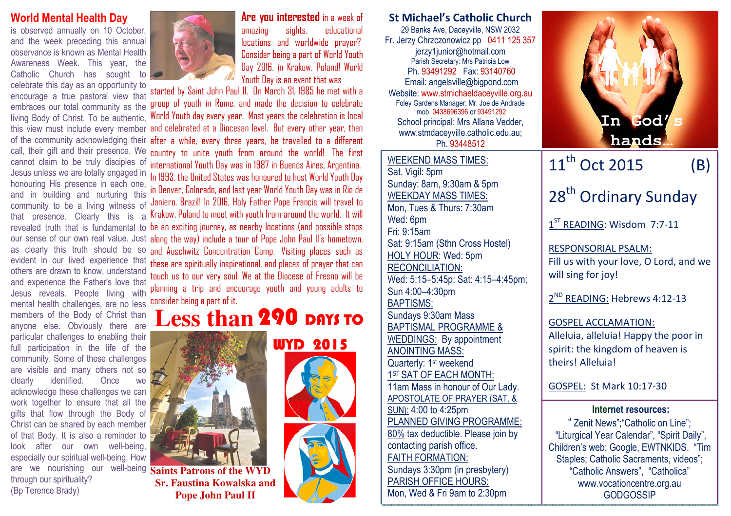### World Mental Health Day

is observed annually on 10 October, and the week preceding this annual observance is known as Mental Health Awareness Week. This year, the Catholic Church has sought to

 celebrate this day as an opportunity to encourage a true pastoral view that embraces our total community as the living Body of Christ. To be authentic, of the community acknowledging their call, their gift and their presence. We cannot claim to be truly disciples of Jesus unless we are totally engaged in honouring His presence in each one, and in building and nurturing this a that presence. Clearly this is as clearly this truth should be so evident in our lived experience that others are drawn to know, understand and experience the Father's love that Jesus reveals. People living with mental health challenges, are no less consider being a part of it. members of the Body of Christ than anyone else. Obviously there are particular challenges to enabling their full participation in the life of the community. Some of these challenges are visible and many others not so clearly identified. Once we acknowledge these challenges we can work together to ensure that all the gifts that flow through the Body of Christ can be shared by each member of that Body. It is also a reminder to look after our own well-being, especially our spiritual well-being. How are we nourishing our well-being **Saints Patrons of the WYD** through our spirituality? (Bp Terence Brady)



amazing sights, educational locations and worldwide prayer? Consider being a part of World Youth Day 2016, in Krakow, Poland! World Youth Day is an event that was

this view must include every member and celebrated at a Diocesan level. But every other year, then community to be a living witness of Janiero, Brazil! In 2016, Holy Father Pope Francis will travel to revealed truth that is fundamental to be an exciting journey, as nearby locations (and possible stops our sense of our own real value. Just along the way) include a tour of Pope John Paul II's hometown, started by Saint John Paul II. On March 31, 1985 he met with a group of youth in Rome, and made the decision to celebrate World Youth day every year. Most years the celebration is local after a while, every three years, he travelled to a different country to unite youth from around the world! The first international Youth Day was in 1987 in Buenos Aires, Argentina. In 1993, the United States was honoured to host World Youth Day in Denver, Colorado, and last year World Youth Day was in Rio de Krakow, Poland to meet with youth from around the world. It will and Auschwitz Concentration Camp. Visiting places such as these are spiritually inspirational, and places of prayer that can touch us to our very soul. We at the Diocese of Fresno will be planning a trip and encourage youth and young adults to

# **Less than** 290 DAYS TO

WYD 2015



 **Sr. Faustina Kowalska and Pope John Paul II** 

St Michael's Catholic Church 29 Banks Ave, Daceyville, NSW 2032 Fr. Jerzy Chrzczonowicz pp 0411 125 357 jerzy1junior@hotmail.com Parish Secretary: Mrs Patricia Low Ph. 93491292 Fax: 93140760 Email: angelsville@bigpond.com Website: www.stmichaeldaceyville.org.au Foley Gardens Manager: Mr. Joe de Andrade mob. 0438696396 or 93491292 School principal: Mrs Allana Vedder, www.stmdaceyville.catholic.edu.au; Ph. 93448512WEEKEND MASS TIMES:Sat. Vigil: 5pm Sunday: 8am, 9:30am & 5pm WEEKDAY MASS TIMES:

### Mon, Tues & Thurs: 7:30am Wed: 6pm Fri: 9:15am Sat: 9:15am (Sthn Cross Hostel) HOLY HOUR: Wed: 5pm RECONCILIATION: Wed: 5:15–5:45p: Sat: 4:15–4:45pm;

Sun 4:00–4:30pm BAPTISMS: Sundays 9:30am Mass BAPTISMAL PROGRAMME & WEDDINGS: By appointment ANOINTING MASS: Quarterly: 1<sup>st</sup> weekend 1<sup>ST</sup> SAT OF EACH MONTH: 11am Mass in honour of Our Lady. APOSTOLATE OF PRAYER (SAT. & SUN): 4:00 to 4:25pm PLANNED GIVING PROGRAMME: 80% tax deductible. Please join by contacting parish office. FAITH FORMATION: Sundays 3:30pm (in presbytery)

PARISH OFFICE HOURS: Mon, Wed & Fri 9am to 2:30pm



## $11^{\text{th}}$  Oct 2015 (B) 28<sup>th</sup> Ordinary Sunday

1<sup>ST</sup> READING: Wisdom 7:7-11

RESPONSORIAL PSALM: Fill us with your love, O Lord, and we will sing for joy!

2<sup>ND</sup> READING: Hebrews 4:12-13

GOSPEL ACCLAMATION: Alleluia, alleluia! Happy the poor in spirit: the kingdom of heaven is theirs! Alleluia!

GOSPEL: St Mark 10:17-30

### Internet resources:

" Zenit News";"Catholic on Line"; "Liturgical Year Calendar", "Spirit Daily", Children's web: Google, EWTNKIDS. "Tim Staples; Catholic Sacraments, videos"; "Catholic Answers", "Catholica" www.vocationcentre.org.au **GODGOSSIP**